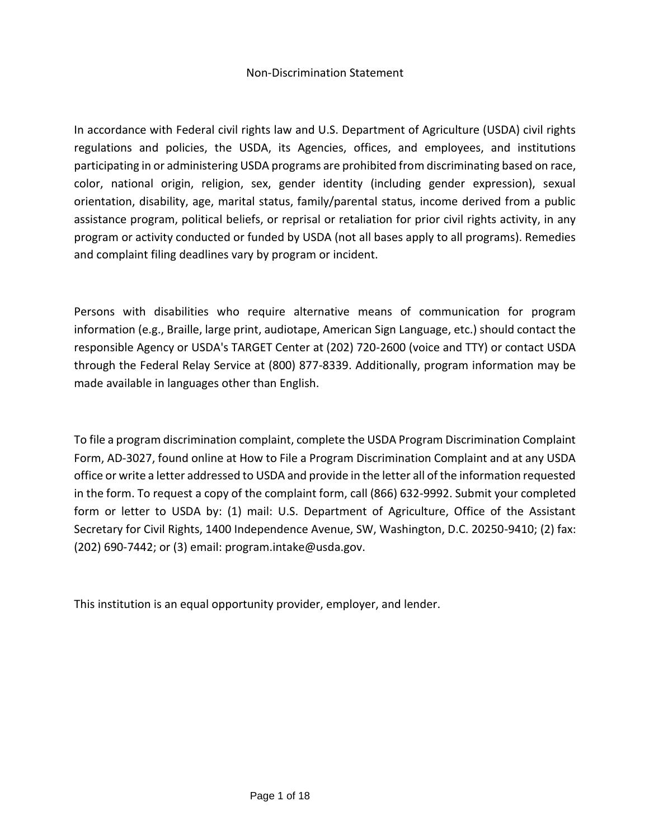#### Non-Discrimination Statement

In accordance with Federal civil rights law and U.S. Department of Agriculture (USDA) civil rights regulations and policies, the USDA, its Agencies, offices, and employees, and institutions participating in or administering USDA programs are prohibited from discriminating based on race, color, national origin, religion, sex, gender identity (including gender expression), sexual orientation, disability, age, marital status, family/parental status, income derived from a public assistance program, political beliefs, or reprisal or retaliation for prior civil rights activity, in any program or activity conducted or funded by USDA (not all bases apply to all programs). Remedies and complaint filing deadlines vary by program or incident.

Persons with disabilities who require alternative means of communication for program information (e.g., Braille, large print, audiotape, American Sign Language, etc.) should contact the responsible Agency or USDA's TARGET Center at (202) 720-2600 (voice and TTY) or contact USDA through the Federal Relay Service at (800) 877-8339. Additionally, program information may be made available in languages other than English.

To file a program discrimination complaint, complete the USDA Program Discrimination Complaint Form, AD-3027, found online at How to File a Program Discrimination Complaint and at any USDA office or write a letter addressed to USDA and provide in the letter all of the information requested in the form. To request a copy of the complaint form, call (866) 632-9992. Submit your completed form or letter to USDA by: (1) mail: U.S. Department of Agriculture, Office of the Assistant Secretary for Civil Rights, 1400 Independence Avenue, SW, Washington, D.C. 20250-9410; (2) fax: (202) 690-7442; or (3) email: program.intake@usda.gov.

This institution is an equal opportunity provider, employer, and lender.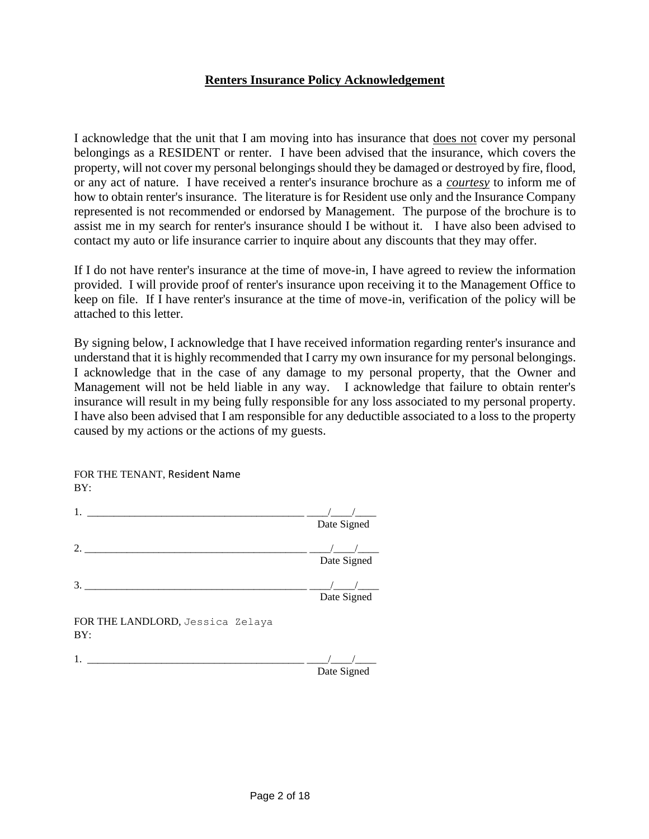#### **Renters Insurance Policy Acknowledgement**

I acknowledge that the unit that I am moving into has insurance that does not cover my personal belongings as a RESIDENT or renter. I have been advised that the insurance, which covers the property, will not cover my personal belongings should they be damaged or destroyed by fire, flood, or any act of nature. I have received a renter's insurance brochure as a *courtesy* to inform me of how to obtain renter's insurance. The literature is for Resident use only and the Insurance Company represented is not recommended or endorsed by Management. The purpose of the brochure is to assist me in my search for renter's insurance should I be without it. I have also been advised to contact my auto or life insurance carrier to inquire about any discounts that they may offer.

If I do not have renter's insurance at the time of move-in, I have agreed to review the information provided. I will provide proof of renter's insurance upon receiving it to the Management Office to keep on file. If I have renter's insurance at the time of move-in, verification of the policy will be attached to this letter.

By signing below, I acknowledge that I have received information regarding renter's insurance and understand that it is highly recommended that I carry my own insurance for my personal belongings. I acknowledge that in the case of any damage to my personal property, that the Owner and Management will not be held liable in any way. I acknowledge that failure to obtain renter's insurance will result in my being fully responsible for any loss associated to my personal property. I have also been advised that I am responsible for any deductible associated to a loss to the property caused by my actions or the actions of my guests.

| BY:                                     |             |
|-----------------------------------------|-------------|
| $1_{-}$                                 |             |
|                                         | Date Signed |
| $\mathcal{D}_{\mathcal{L}}$             |             |
|                                         | Date Signed |
| 3.                                      |             |
|                                         | Date Signed |
| FOR THE LANDLORD, Jessica Zelaya<br>BY: |             |
| 1.                                      |             |
|                                         | Date Signed |

FOR THE TENANT, Resident Name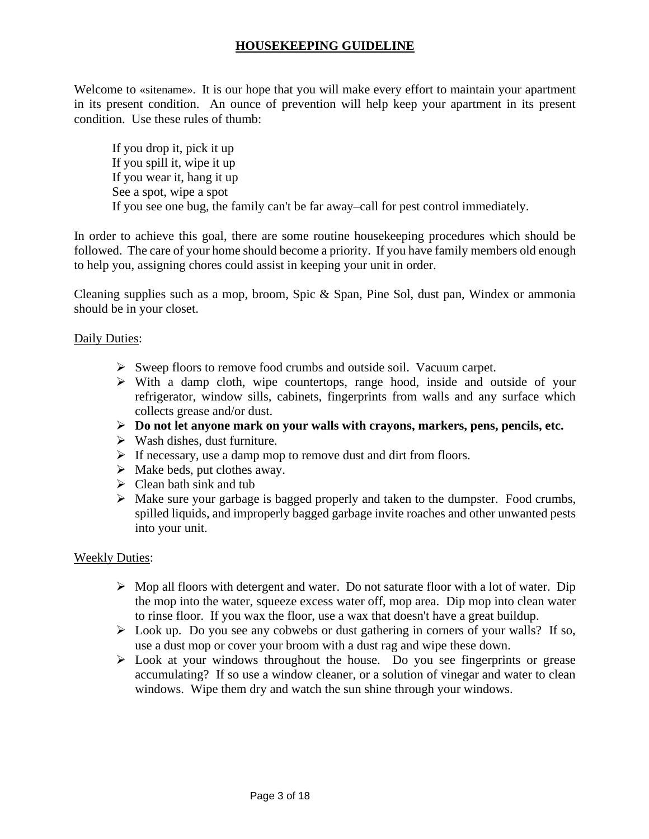## **HOUSEKEEPING GUIDELINE**

Welcome to «sitename». It is our hope that you will make every effort to maintain your apartment in its present condition. An ounce of prevention will help keep your apartment in its present condition. Use these rules of thumb:

If you drop it, pick it up If you spill it, wipe it up If you wear it, hang it up See a spot, wipe a spot If you see one bug, the family can't be far away–call for pest control immediately.

In order to achieve this goal, there are some routine housekeeping procedures which should be followed. The care of your home should become a priority. If you have family members old enough to help you, assigning chores could assist in keeping your unit in order.

Cleaning supplies such as a mop, broom, Spic & Span, Pine Sol, dust pan, Windex or ammonia should be in your closet.

### Daily Duties:

- ➢ Sweep floors to remove food crumbs and outside soil. Vacuum carpet.
- ➢ With a damp cloth, wipe countertops, range hood, inside and outside of your refrigerator, window sills, cabinets, fingerprints from walls and any surface which collects grease and/or dust.
- ➢ **Do not let anyone mark on your walls with crayons, markers, pens, pencils, etc.**
- $\triangleright$  Wash dishes, dust furniture.
- $\triangleright$  If necessary, use a damp mop to remove dust and dirt from floors.
- ➢ Make beds, put clothes away.
- $\triangleright$  Clean bath sink and tub
- ➢ Make sure your garbage is bagged properly and taken to the dumpster. Food crumbs, spilled liquids, and improperly bagged garbage invite roaches and other unwanted pests into your unit.

#### Weekly Duties:

- ➢ Mop all floors with detergent and water. Do not saturate floor with a lot of water. Dip the mop into the water, squeeze excess water off, mop area. Dip mop into clean water to rinse floor. If you wax the floor, use a wax that doesn't have a great buildup.
- ➢ Look up. Do you see any cobwebs or dust gathering in corners of your walls? If so, use a dust mop or cover your broom with a dust rag and wipe these down.
- ➢ Look at your windows throughout the house. Do you see fingerprints or grease accumulating? If so use a window cleaner, or a solution of vinegar and water to clean windows. Wipe them dry and watch the sun shine through your windows.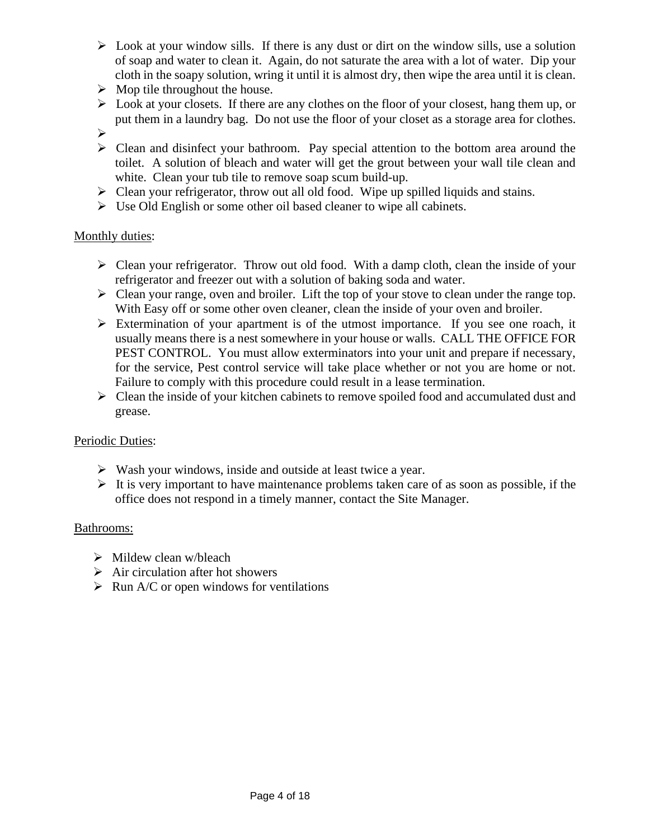- $\triangleright$  Look at your window sills. If there is any dust or dirt on the window sills, use a solution of soap and water to clean it. Again, do not saturate the area with a lot of water. Dip your cloth in the soapy solution, wring it until it is almost dry, then wipe the area until it is clean.
- $\triangleright$  Mop tile throughout the house.
- ➢ Look at your closets. If there are any clothes on the floor of your closest, hang them up, or put them in a laundry bag. Do not use the floor of your closet as a storage area for clothes.
- ➢
- ➢ Clean and disinfect your bathroom. Pay special attention to the bottom area around the toilet. A solution of bleach and water will get the grout between your wall tile clean and white. Clean your tub tile to remove soap scum build-up.
- ➢ Clean your refrigerator, throw out all old food. Wipe up spilled liquids and stains.
- ➢ Use Old English or some other oil based cleaner to wipe all cabinets.

## Monthly duties:

- $\triangleright$  Clean your refrigerator. Throw out old food. With a damp cloth, clean the inside of your refrigerator and freezer out with a solution of baking soda and water.
- $\triangleright$  Clean your range, oven and broiler. Lift the top of your stove to clean under the range top. With Easy off or some other oven cleaner, clean the inside of your oven and broiler.
- ➢ Extermination of your apartment is of the utmost importance. If you see one roach, it usually means there is a nest somewhere in your house or walls. CALL THE OFFICE FOR PEST CONTROL. You must allow exterminators into your unit and prepare if necessary, for the service, Pest control service will take place whether or not you are home or not. Failure to comply with this procedure could result in a lease termination.
- ➢ Clean the inside of your kitchen cabinets to remove spoiled food and accumulated dust and grease.

## Periodic Duties:

- ➢ Wash your windows, inside and outside at least twice a year.
- $\triangleright$  It is very important to have maintenance problems taken care of as soon as possible, if the office does not respond in a timely manner, contact the Site Manager.

## Bathrooms:

- $\triangleright$  Mildew clean w/bleach
- $\triangleright$  Air circulation after hot showers
- $\triangleright$  Run A/C or open windows for ventilations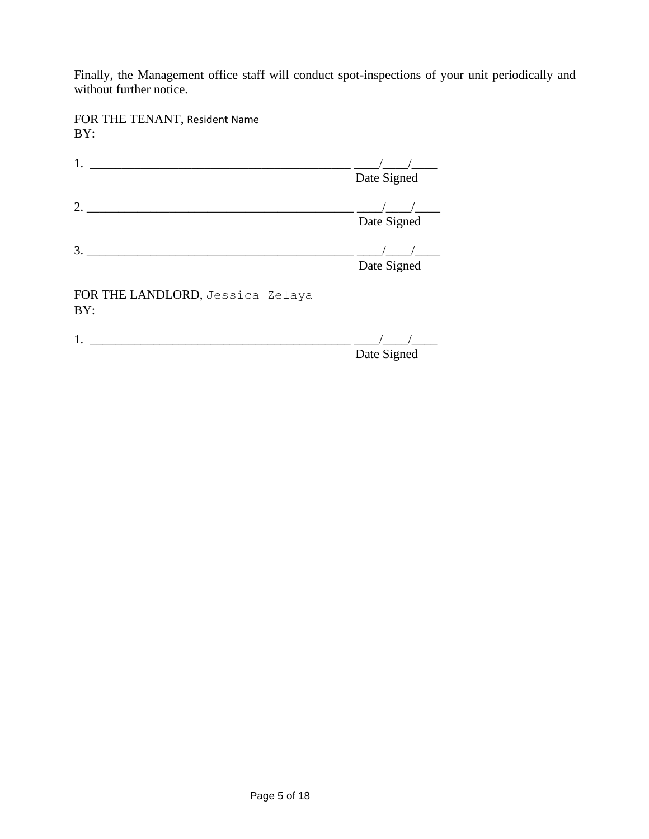Finally, the Management office staff will conduct spot-inspections of your unit periodically and without further notice.

FOR THE TENANT, Resident Name BY:

|                                         | Date Signed |
|-----------------------------------------|-------------|
| $\mathcal{D}_{\mathcal{L}}$             | Date Signed |
| 3                                       | Date Signed |
| FOR THE LANDLORD, Jessica Zelaya<br>BY: |             |
|                                         |             |

Date Signed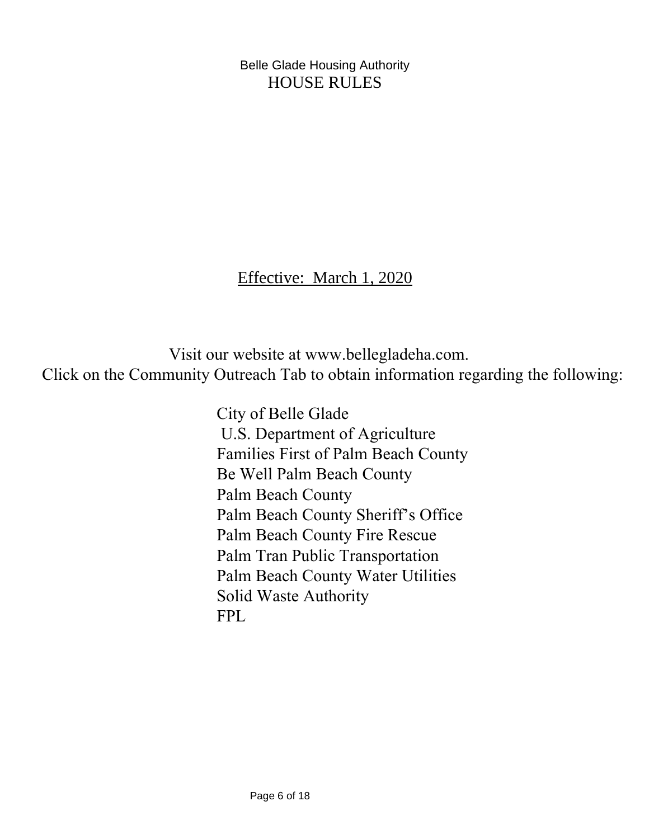Belle Glade Housing Authority HOUSE RULES

Effective: March 1, 2020

 Visit our website at www.bellegladeha.com. Click on the Community Outreach Tab to obtain information regarding the following:

> City of Belle Glade U.S. Department of Agriculture Families First of Palm Beach County Be Well Palm Beach County Palm Beach County Palm Beach County Sheriff's Office Palm Beach County Fire Rescue Palm Tran Public Transportation Palm Beach County Water Utilities Solid Waste Authority FPL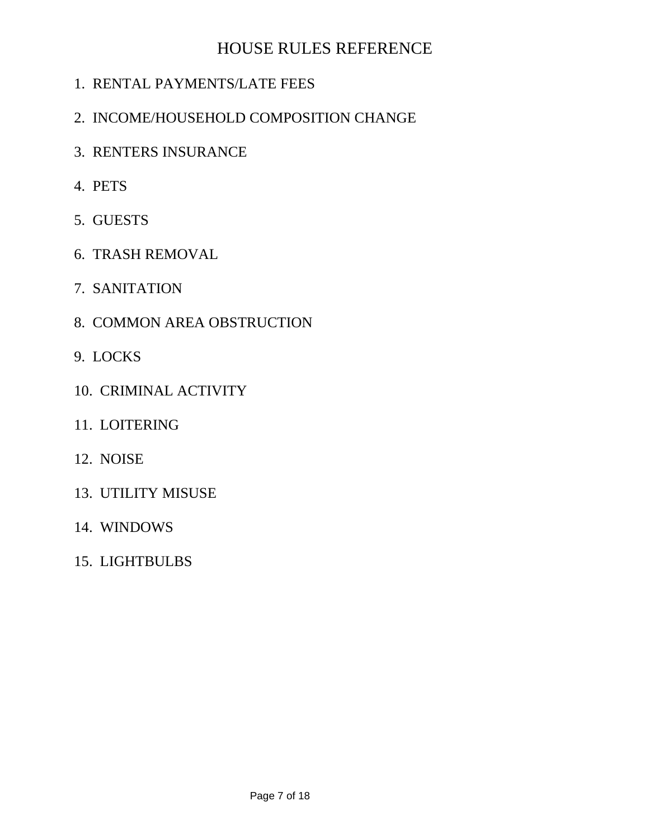# HOUSE RULES REFERENCE

- 1. RENTAL PAYMENTS/LATE FEES
- 2. INCOME/HOUSEHOLD COMPOSITION CHANGE
- 3. RENTERS INSURANCE
- 4. PETS
- 5. GUESTS
- 6. TRASH REMOVAL
- 7. SANITATION
- 8. COMMON AREA OBSTRUCTION
- 9. LOCKS
- 10. CRIMINAL ACTIVITY
- 11. LOITERING
- 12. NOISE
- 13. UTILITY MISUSE
- 14. WINDOWS
- 15. LIGHTBULBS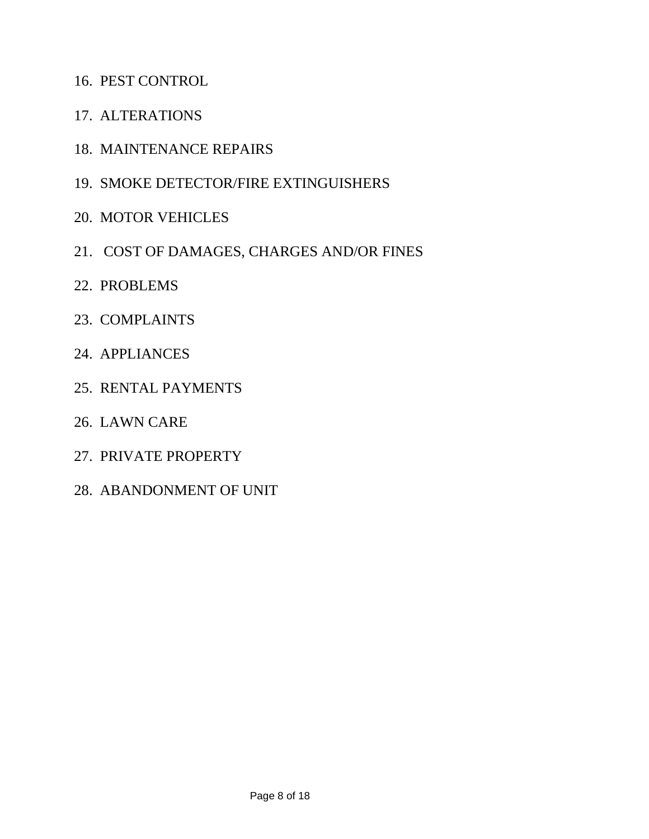- 16. PEST CONTROL
- 17. ALTERATIONS
- 18. MAINTENANCE REPAIRS
- 19. SMOKE DETECTOR/FIRE EXTINGUISHERS
- 20. MOTOR VEHICLES
- 21. COST OF DAMAGES, CHARGES AND/OR FINES
- 22. PROBLEMS
- 23. COMPLAINTS
- 24. APPLIANCES
- 25. RENTAL PAYMENTS
- 26. LAWN CARE
- 27. PRIVATE PROPERTY
- 28. ABANDONMENT OF UNIT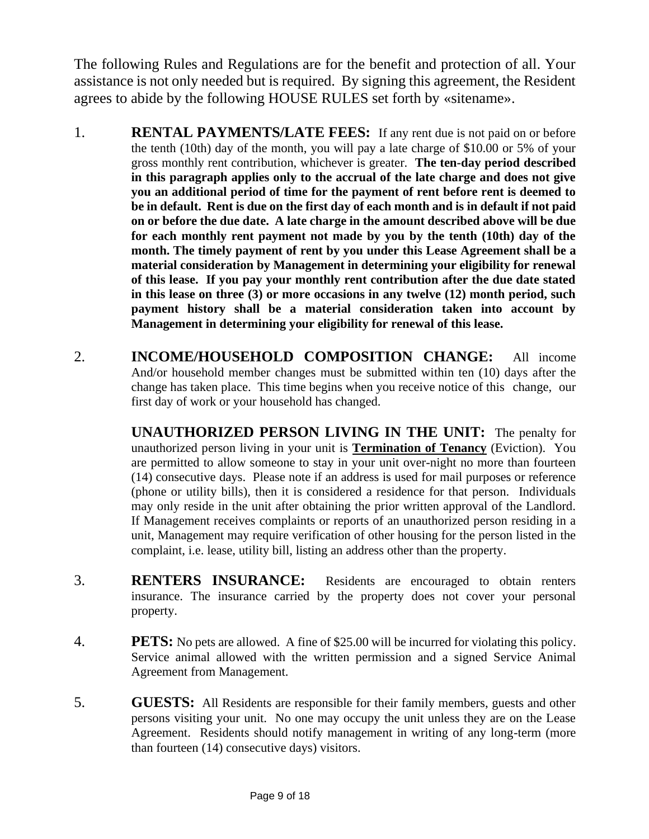The following Rules and Regulations are for the benefit and protection of all. Your assistance is not only needed but is required. By signing this agreement, the Resident agrees to abide by the following HOUSE RULES set forth by «sitename».

- 1. **RENTAL PAYMENTS/LATE FEES:** If any rent due is not paid on or before the tenth (10th) day of the month, you will pay a late charge of \$10.00 or 5% of your gross monthly rent contribution, whichever is greater. **The ten-day period described in this paragraph applies only to the accrual of the late charge and does not give you an additional period of time for the payment of rent before rent is deemed to be in default. Rent is due on the first day of each month and is in default if not paid on or before the due date. A late charge in the amount described above will be due for each monthly rent payment not made by you by the tenth (10th) day of the month. The timely payment of rent by you under this Lease Agreement shall be a material consideration by Management in determining your eligibility for renewal of this lease. If you pay your monthly rent contribution after the due date stated in this lease on three (3) or more occasions in any twelve (12) month period, such payment history shall be a material consideration taken into account by Management in determining your eligibility for renewal of this lease.**
- 2. **INCOME/HOUSEHOLD COMPOSITION CHANGE:** All income And/or household member changes must be submitted within ten (10) days after the change has taken place. This time begins when you receive notice of this change, our first day of work or your household has changed.

**UNAUTHORIZED PERSON LIVING IN THE UNIT:** The penalty for unauthorized person living in your unit is **Termination of Tenancy** (Eviction). You are permitted to allow someone to stay in your unit over-night no more than fourteen (14) consecutive days. Please note if an address is used for mail purposes or reference (phone or utility bills), then it is considered a residence for that person. Individuals may only reside in the unit after obtaining the prior written approval of the Landlord. If Management receives complaints or reports of an unauthorized person residing in a unit, Management may require verification of other housing for the person listed in the complaint, i.e. lease, utility bill, listing an address other than the property.

- 3. **RENTERS INSURANCE:** Residents are encouraged to obtain renters insurance. The insurance carried by the property does not cover your personal property.
- 4. **PETS:** No pets are allowed. A fine of \$25.00 will be incurred for violating this policy. Service animal allowed with the written permission and a signed Service Animal Agreement from Management.
- 5. **GUESTS:** All Residents are responsible for their family members, guests and other persons visiting your unit. No one may occupy the unit unless they are on the Lease Agreement. Residents should notify management in writing of any long-term (more than fourteen (14) consecutive days) visitors.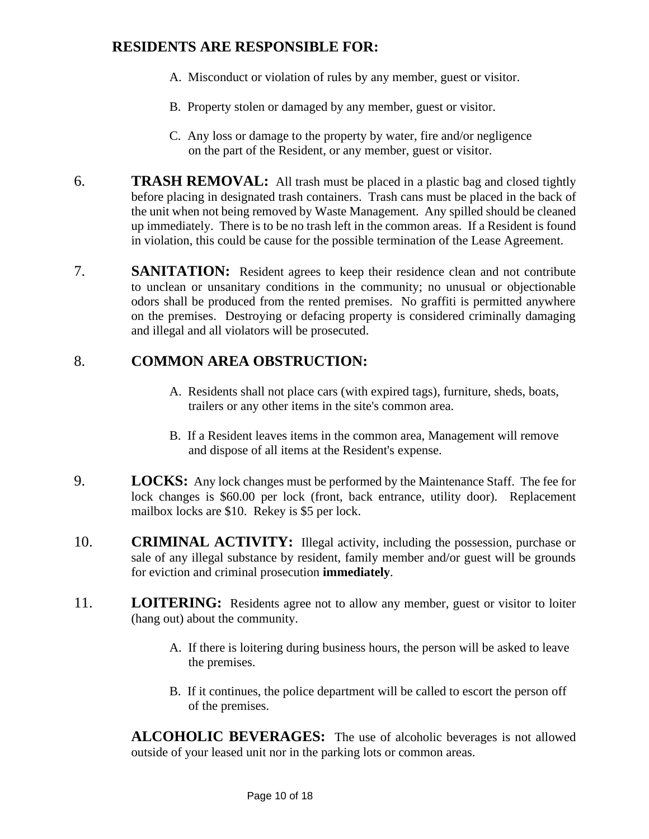# **RESIDENTS ARE RESPONSIBLE FOR:**

- A. Misconduct or violation of rules by any member, guest or visitor.
- B. Property stolen or damaged by any member, guest or visitor.
- C. Any loss or damage to the property by water, fire and/or negligence on the part of the Resident, or any member, guest or visitor.
- 6. **TRASH REMOVAL:** All trash must be placed in a plastic bag and closed tightly before placing in designated trash containers. Trash cans must be placed in the back of the unit when not being removed by Waste Management. Any spilled should be cleaned up immediately. There is to be no trash left in the common areas. If a Resident is found in violation, this could be cause for the possible termination of the Lease Agreement.
- 7. **SANITATION:** Resident agrees to keep their residence clean and not contribute to unclean or unsanitary conditions in the community; no unusual or objectionable odors shall be produced from the rented premises. No graffiti is permitted anywhere on the premises. Destroying or defacing property is considered criminally damaging and illegal and all violators will be prosecuted.

# 8. **COMMON AREA OBSTRUCTION:**

- A. Residents shall not place cars (with expired tags), furniture, sheds, boats, trailers or any other items in the site's common area.
- B. If a Resident leaves items in the common area, Management will remove and dispose of all items at the Resident's expense.
- 9. **LOCKS:** Any lock changes must be performed by the Maintenance Staff. The fee for lock changes is \$60.00 per lock (front, back entrance, utility door). Replacement mailbox locks are \$10. Rekey is \$5 per lock.
- 10. **CRIMINAL ACTIVITY:** Illegal activity, including the possession, purchase or sale of any illegal substance by resident, family member and/or guest will be grounds for eviction and criminal prosecution **immediately**.
- 11. **LOITERING:** Residents agree not to allow any member, guest or visitor to loiter (hang out) about the community.
	- A. If there is loitering during business hours, the person will be asked to leave the premises.
	- B. If it continues, the police department will be called to escort the person off of the premises.

**ALCOHOLIC BEVERAGES:** The use of alcoholic beverages is not allowed outside of your leased unit nor in the parking lots or common areas.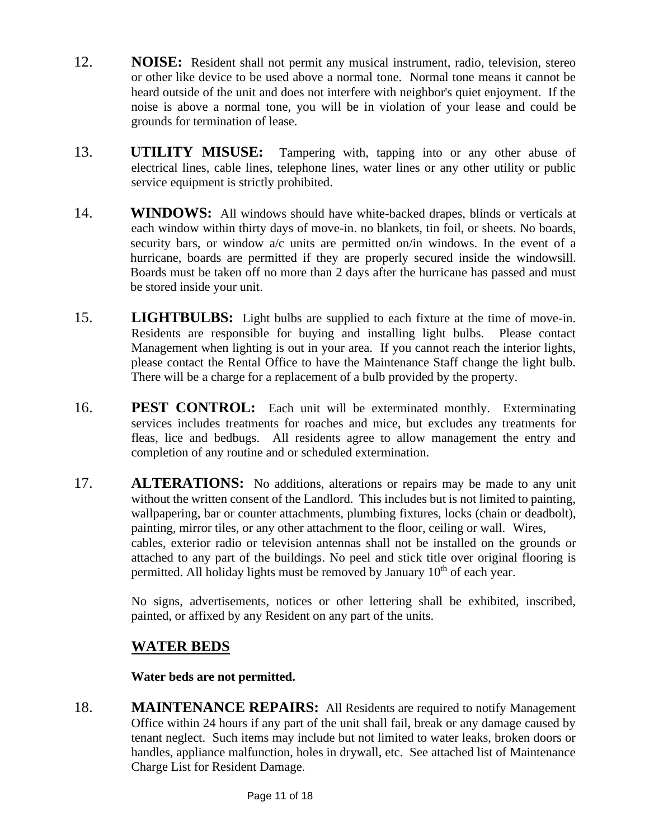- 12. **NOISE:** Resident shall not permit any musical instrument, radio, television, stereo or other like device to be used above a normal tone. Normal tone means it cannot be heard outside of the unit and does not interfere with neighbor's quiet enjoyment. If the noise is above a normal tone, you will be in violation of your lease and could be grounds for termination of lease.
- 13. **UTILITY MISUSE:** Tampering with, tapping into or any other abuse of electrical lines, cable lines, telephone lines, water lines or any other utility or public service equipment is strictly prohibited.
- 14. **WINDOWS:** All windows should have white-backed drapes, blinds or verticals at each window within thirty days of move-in. no blankets, tin foil, or sheets. No boards, security bars, or window a/c units are permitted on/in windows. In the event of a hurricane, boards are permitted if they are properly secured inside the windowsill. Boards must be taken off no more than 2 days after the hurricane has passed and must be stored inside your unit.
- 15. **LIGHTBULBS:** Light bulbs are supplied to each fixture at the time of move-in. Residents are responsible for buying and installing light bulbs. Please contact Management when lighting is out in your area. If you cannot reach the interior lights, please contact the Rental Office to have the Maintenance Staff change the light bulb. There will be a charge for a replacement of a bulb provided by the property.
- 16. **PEST CONTROL:** Each unit will be exterminated monthly. Exterminating services includes treatments for roaches and mice, but excludes any treatments for fleas, lice and bedbugs. All residents agree to allow management the entry and completion of any routine and or scheduled extermination.
- 17. **ALTERATIONS:** No additions, alterations or repairs may be made to any unit without the written consent of the Landlord. This includes but is not limited to painting, wallpapering, bar or counter attachments, plumbing fixtures, locks (chain or deadbolt), painting, mirror tiles, or any other attachment to the floor, ceiling or wall. Wires, cables, exterior radio or television antennas shall not be installed on the grounds or attached to any part of the buildings. No peel and stick title over original flooring is permitted. All holiday lights must be removed by January  $10<sup>th</sup>$  of each year.

No signs, advertisements, notices or other lettering shall be exhibited, inscribed, painted, or affixed by any Resident on any part of the units.

# **WATER BEDS**

**Water beds are not permitted.**

18. **MAINTENANCE REPAIRS:** All Residents are required to notify Management Office within 24 hours if any part of the unit shall fail, break or any damage caused by tenant neglect. Such items may include but not limited to water leaks, broken doors or handles, appliance malfunction, holes in drywall, etc. See attached list of Maintenance Charge List for Resident Damage.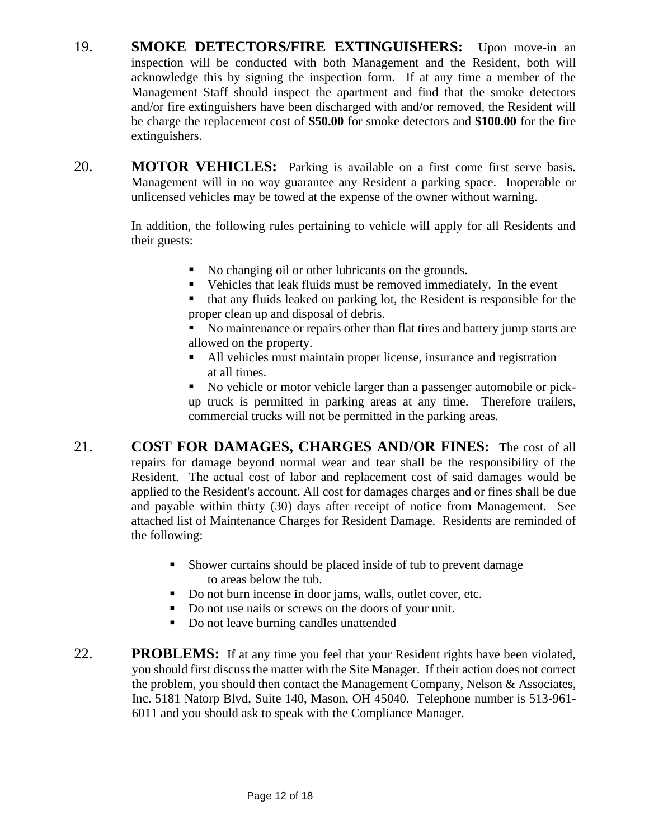- 19. **SMOKE DETECTORS/FIRE EXTINGUISHERS:** Upon move-in an inspection will be conducted with both Management and the Resident, both will acknowledge this by signing the inspection form. If at any time a member of the Management Staff should inspect the apartment and find that the smoke detectors and/or fire extinguishers have been discharged with and/or removed, the Resident will be charge the replacement cost of **\$50.00** for smoke detectors and **\$100.00** for the fire extinguishers.
- 20. **MOTOR VEHICLES:** Parking is available on a first come first serve basis. Management will in no way guarantee any Resident a parking space. Inoperable or unlicensed vehicles may be towed at the expense of the owner without warning.

In addition, the following rules pertaining to vehicle will apply for all Residents and their guests:

- No changing oil or other lubricants on the grounds.
- Vehicles that leak fluids must be removed immediately. In the event
- that any fluids leaked on parking lot, the Resident is responsible for the proper clean up and disposal of debris.
- No maintenance or repairs other than flat tires and battery jump starts are allowed on the property.
- All vehicles must maintain proper license, insurance and registration at all times.
- No vehicle or motor vehicle larger than a passenger automobile or pickup truck is permitted in parking areas at any time. Therefore trailers, commercial trucks will not be permitted in the parking areas.
- 21. **COST FOR DAMAGES, CHARGES AND/OR FINES:** The cost of all repairs for damage beyond normal wear and tear shall be the responsibility of the Resident. The actual cost of labor and replacement cost of said damages would be applied to the Resident's account. All cost for damages charges and or fines shall be due and payable within thirty (30) days after receipt of notice from Management. See attached list of Maintenance Charges for Resident Damage. Residents are reminded of the following:
	- Shower curtains should be placed inside of tub to prevent damage to areas below the tub.
	- Do not burn incense in door jams, walls, outlet cover, etc.
	- Do not use nails or screws on the doors of your unit.
	- Do not leave burning candles unattended
- 22. **PROBLEMS:** If at any time you feel that your Resident rights have been violated, you should first discuss the matter with the Site Manager. If their action does not correct the problem, you should then contact the Management Company, Nelson  $&$  Associates, Inc. 5181 Natorp Blvd, Suite 140, Mason, OH 45040. Telephone number is 513-961- 6011 and you should ask to speak with the Compliance Manager.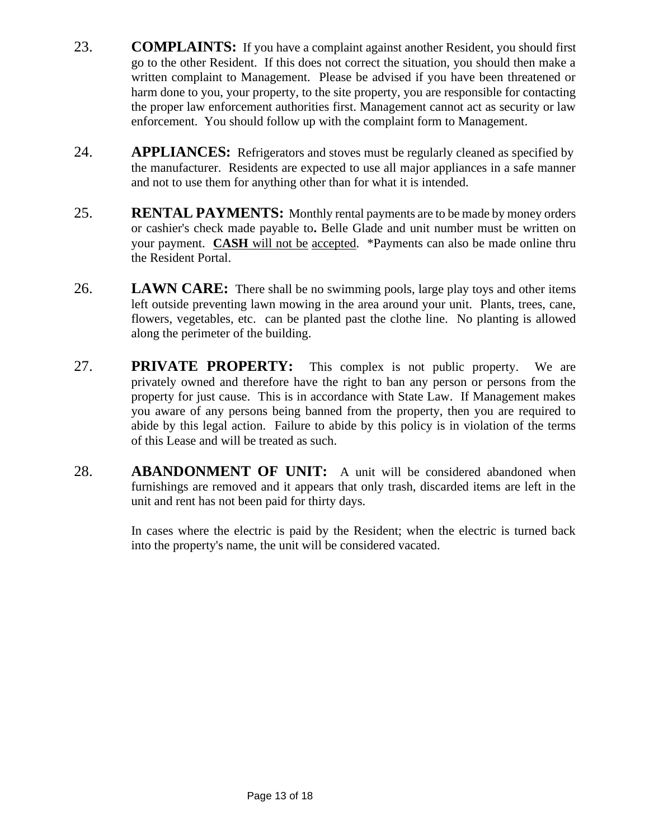- 23. **COMPLAINTS:** If you have a complaint against another Resident, you should first go to the other Resident. If this does not correct the situation, you should then make a written complaint to Management. Please be advised if you have been threatened or harm done to you, your property, to the site property, you are responsible for contacting the proper law enforcement authorities first. Management cannot act as security or law enforcement. You should follow up with the complaint form to Management.
- 24. **APPLIANCES:** Refrigerators and stoves must be regularly cleaned as specified by the manufacturer. Residents are expected to use all major appliances in a safe manner and not to use them for anything other than for what it is intended.
- 25. **RENTAL PAYMENTS:** Monthly rental payments are to be made by money orders or cashier's check made payable to**.** Belle Glade and unit number must be written on your payment. **CASH** will not be accepted. \*Payments can also be made online thru the Resident Portal.
- 26. **LAWN CARE:** There shall be no swimming pools, large play toys and other items left outside preventing lawn mowing in the area around your unit. Plants, trees, cane, flowers, vegetables, etc. can be planted past the clothe line. No planting is allowed along the perimeter of the building.
- 27. **PRIVATE PROPERTY:** This complex is not public property. We are privately owned and therefore have the right to ban any person or persons from the property for just cause. This is in accordance with State Law. If Management makes you aware of any persons being banned from the property, then you are required to abide by this legal action. Failure to abide by this policy is in violation of the terms of this Lease and will be treated as such.
- 28. **ABANDONMENT OF UNIT:** A unit will be considered abandoned when furnishings are removed and it appears that only trash, discarded items are left in the unit and rent has not been paid for thirty days.

In cases where the electric is paid by the Resident; when the electric is turned back into the property's name, the unit will be considered vacated.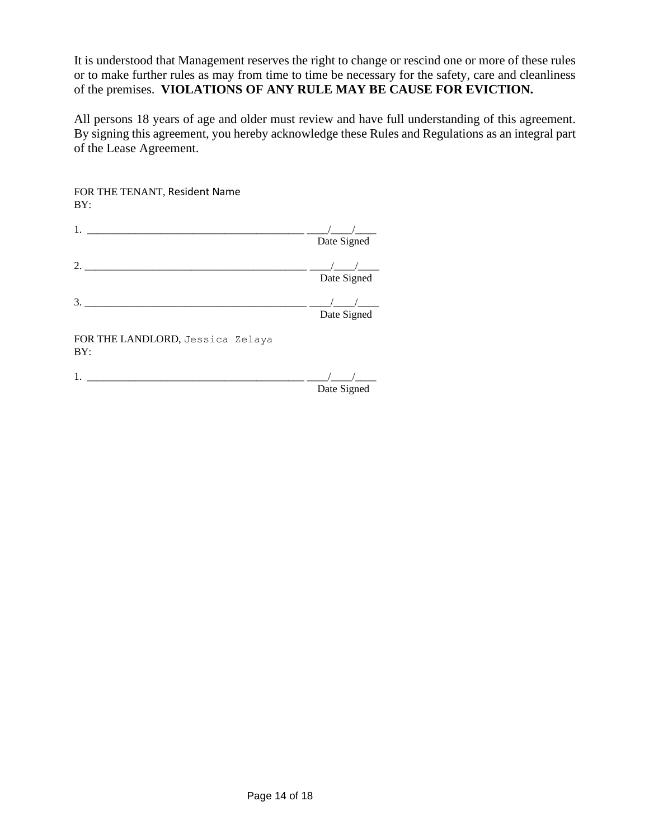It is understood that Management reserves the right to change or rescind one or more of these rules or to make further rules as may from time to time be necessary for the safety, care and cleanliness of the premises. **VIOLATIONS OF ANY RULE MAY BE CAUSE FOR EVICTION.**

All persons 18 years of age and older must review and have full understanding of this agreement. By signing this agreement, you hereby acknowledge these Rules and Regulations as an integral part of the Lease Agreement.

| FOR THE TENANT, Resident Name<br>BY:    |                                       |
|-----------------------------------------|---------------------------------------|
|                                         | Date Signed                           |
| $\mathcal{D}_{\mathcal{L}}$             | Date Signed                           |
|                                         | Date Signed                           |
| FOR THE LANDLORD, Jessica Zelaya<br>BY: |                                       |
| 1.                                      | $D_{\text{max}}$ $C_{\text{max}}$ $A$ |

Date Signed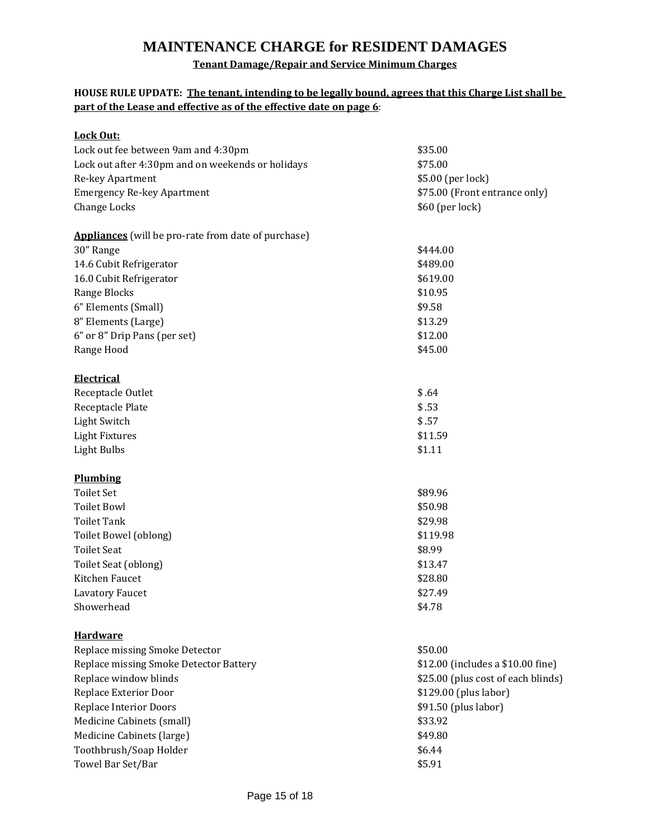# **MAINTENANCE CHARGE for RESIDENT DAMAGES**

# **Tenant Damage/Repair and Service Minimum Charges**

### **HOUSE RULE UPDATE: The tenant, intending to be legally bound, agrees that this Charge List shall be part of the Lease and effective as of the effective date on page 6**:

| Lock Out:                                                  |                                    |  |
|------------------------------------------------------------|------------------------------------|--|
| Lock out fee between 9am and 4:30pm                        | \$35.00                            |  |
| Lock out after 4:30pm and on weekends or holidays          | \$75.00                            |  |
| Re-key Apartment                                           | \$5.00 (per lock)                  |  |
| <b>Emergency Re-key Apartment</b>                          | \$75.00 (Front entrance only)      |  |
| Change Locks                                               | \$60 (per lock)                    |  |
| <b>Appliances</b> (will be pro-rate from date of purchase) |                                    |  |
| 30" Range                                                  | \$444.00                           |  |
| 14.6 Cubit Refrigerator                                    | \$489.00                           |  |
| 16.0 Cubit Refrigerator                                    | \$619.00                           |  |
| Range Blocks                                               | \$10.95                            |  |
| 6" Elements (Small)                                        | \$9.58                             |  |
| 8" Elements (Large)                                        | \$13.29                            |  |
| 6" or 8" Drip Pans (per set)                               | \$12.00                            |  |
| Range Hood                                                 | \$45.00                            |  |
| <b>Electrical</b>                                          |                                    |  |
| Receptacle Outlet                                          | \$.64                              |  |
| Receptacle Plate                                           | \$.53                              |  |
| Light Switch                                               | \$.57<br>\$11.59                   |  |
| <b>Light Fixtures</b>                                      |                                    |  |
| Light Bulbs                                                | \$1.11                             |  |
| <b>Plumbing</b>                                            |                                    |  |
| <b>Toilet Set</b>                                          | \$89.96                            |  |
| <b>Toilet Bowl</b>                                         | \$50.98                            |  |
| <b>Toilet Tank</b>                                         | \$29.98                            |  |
| Toilet Bowel (oblong)                                      | \$119.98                           |  |
| <b>Toilet Seat</b>                                         | \$8.99                             |  |
| Toilet Seat (oblong)                                       | \$13.47                            |  |
| Kitchen Faucet                                             | \$28.80                            |  |
| Lavatory Faucet                                            | \$27.49                            |  |
| Showerhead                                                 | \$4.78                             |  |
| <u>Hardware</u>                                            |                                    |  |
| Replace missing Smoke Detector                             | \$50.00                            |  |
| Replace missing Smoke Detector Battery                     | \$12.00 (includes a \$10.00 fine)  |  |
| Replace window blinds                                      | \$25.00 (plus cost of each blinds) |  |
| Replace Exterior Door                                      | \$129.00 (plus labor)              |  |
| <b>Replace Interior Doors</b>                              | \$91.50 (plus labor)               |  |
| Medicine Cabinets (small)                                  | \$33.92                            |  |
| Medicine Cabinets (large)                                  | \$49.80                            |  |
| Toothbrush/Soap Holder                                     | \$6.44                             |  |
| Towel Bar Set/Bar                                          | \$5.91                             |  |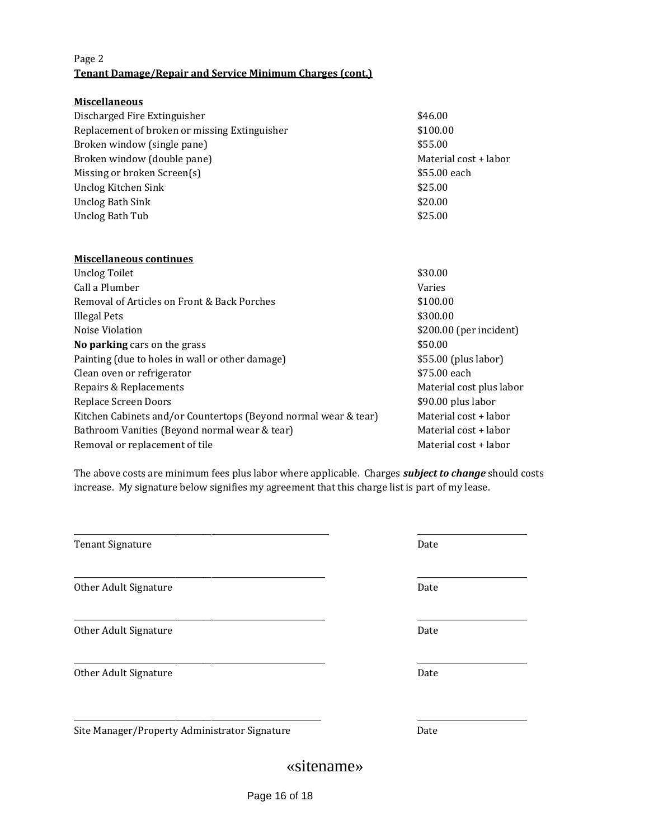#### Page 2 **Tenant Damage/Repair and Service Minimum Charges (cont.)**

| <b>Miscellaneous</b>                          |                       |
|-----------------------------------------------|-----------------------|
| Discharged Fire Extinguisher                  | \$46.00               |
| Replacement of broken or missing Extinguisher | \$100.00              |
| Broken window (single pane)                   | \$55.00               |
| Broken window (double pane)                   | Material cost + labor |
| Missing or broken Screen(s)                   | \$55.00 each          |
| Unclog Kitchen Sink                           | \$25.00               |
| Unclog Bath Sink                              | \$20.00               |
| Unclog Bath Tub                               | \$25.00               |
|                                               |                       |

### **Miscellaneous continues** Unclog Toilet  $$30.00$ Call a Plumber Varies Removal of Articles on Front & Back Porches  $$100.00$ Illegal Pets \$300.00 Noise Violation  $$200.00$  (per incident) **No parking** cars on the grass  $$50.00$ Painting (due to holes in wall or other damage) \$55.00 (plus labor) Clean oven or refrigerator  $$75.00$  each Repairs & Replacements **Material cost plus labor** Material cost plus labor Replace Screen Doors **\$90.00 plus labor** Kitchen Cabinets and/or Countertops (Beyond normal wear & tear) Material cost + labor Bathroom Vanities (Beyond normal wear & tear) Material cost + labor Removal or replacement of tile  $\blacksquare$  Material cost + labor

The above costs are minimum fees plus labor where applicable. Charges *subject to change* should costs increase. My signature below signifies my agreement that this charge list is part of my lease.

| Tenant Signature                              | Date |
|-----------------------------------------------|------|
| Other Adult Signature                         | Date |
| Other Adult Signature                         | Date |
| Other Adult Signature                         | Date |
| Site Manager/Property Administrator Signature | Date |
|                                               |      |

# «sitename»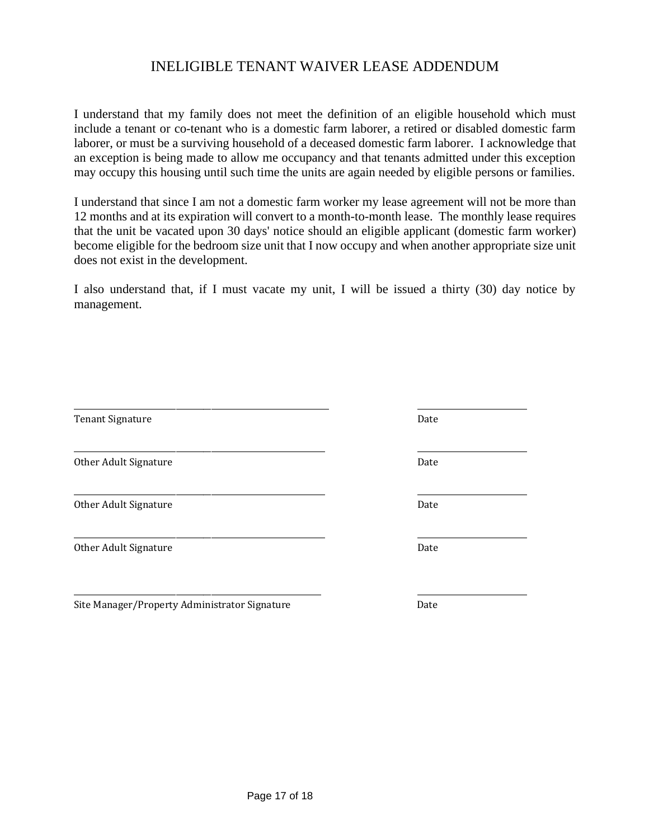# INELIGIBLE TENANT WAIVER LEASE ADDENDUM

I understand that my family does not meet the definition of an eligible household which must include a tenant or co-tenant who is a domestic farm laborer, a retired or disabled domestic farm laborer, or must be a surviving household of a deceased domestic farm laborer. I acknowledge that an exception is being made to allow me occupancy and that tenants admitted under this exception may occupy this housing until such time the units are again needed by eligible persons or families.

I understand that since I am not a domestic farm worker my lease agreement will not be more than 12 months and at its expiration will convert to a month-to-month lease. The monthly lease requires that the unit be vacated upon 30 days' notice should an eligible applicant (domestic farm worker) become eligible for the bedroom size unit that I now occupy and when another appropriate size unit does not exist in the development.

I also understand that, if I must vacate my unit, I will be issued a thirty (30) day notice by management.

| <b>Tenant Signature</b> | Date |
|-------------------------|------|
| Other Adult Signature   | Date |
| Other Adult Signature   | Date |
| Other Adult Signature   | Date |
|                         |      |

Site Manager/Property Administrator Signature **Date** Date